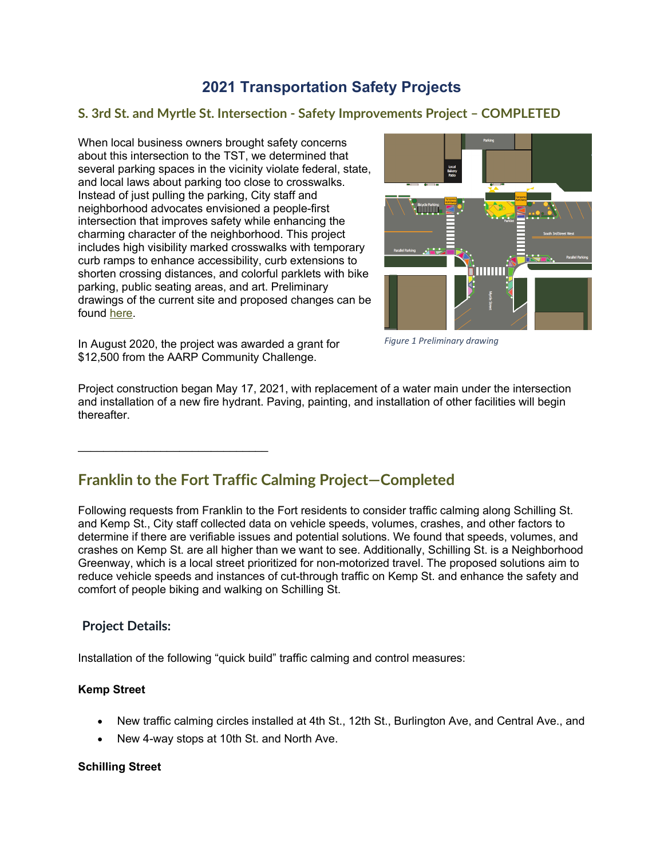# **2021 Transportation Safety Projects**

### **S. 3rd St. and Myrtle St. Intersection - Safety Improvements Project – COMPLETED**

When local business owners brought safety concerns about this intersection to the TST, we determined that several parking spaces in the vicinity violate federal, state, and local laws about parking too close to crosswalks. Instead of just pulling the parking, City staff and neighborhood advocates envisioned a people-first intersection that improves safety while enhancing the charming character of the neighborhood. This project includes high visibility marked crosswalks with temporary curb ramps to enhance accessibility, curb extensions to shorten crossing distances, and colorful parklets with bike parking, public seating areas, and art. Preliminary drawings of the current site and proposed changes can be found [here.](http://www.ci.missoula.mt.us/DocumentCenter/View/53730/3rd-Myrtle_Proposed_Improvements)



In August 2020, the project was awarded a grant for \$12,500 from the AARP Community Challenge.

\_\_\_\_\_\_\_\_\_\_\_\_\_\_\_\_\_\_\_\_\_\_\_\_\_\_\_\_\_\_

*Figure 1 Preliminary drawing*

Project construction began May 17, 2021, with replacement of a water main under the intersection and installation of a new fire hydrant. Paving, painting, and installation of other facilities will begin thereafter.

# **Franklin to the Fort Traffic Calming Project—Completed**

Following requests from Franklin to the Fort residents to consider traffic calming along Schilling St. and Kemp St., City staff collected data on vehicle speeds, volumes, crashes, and other factors to determine if there are verifiable issues and potential solutions. We found that speeds, volumes, and crashes on Kemp St. are all higher than we want to see. Additionally, Schilling St. is a Neighborhood Greenway, which is a local street prioritized for non-motorized travel. The proposed solutions aim to reduce vehicle speeds and instances of cut-through traffic on Kemp St. and enhance the safety and comfort of people biking and walking on Schilling St.

### **Project Details:**

Installation of the following "quick build" traffic calming and control measures:

### **Kemp Street**

- New traffic calming circles installed at 4th St., 12th St., Burlington Ave, and Central Ave., and
- New 4-way stops at 10th St. and North Ave.

#### **Schilling Street**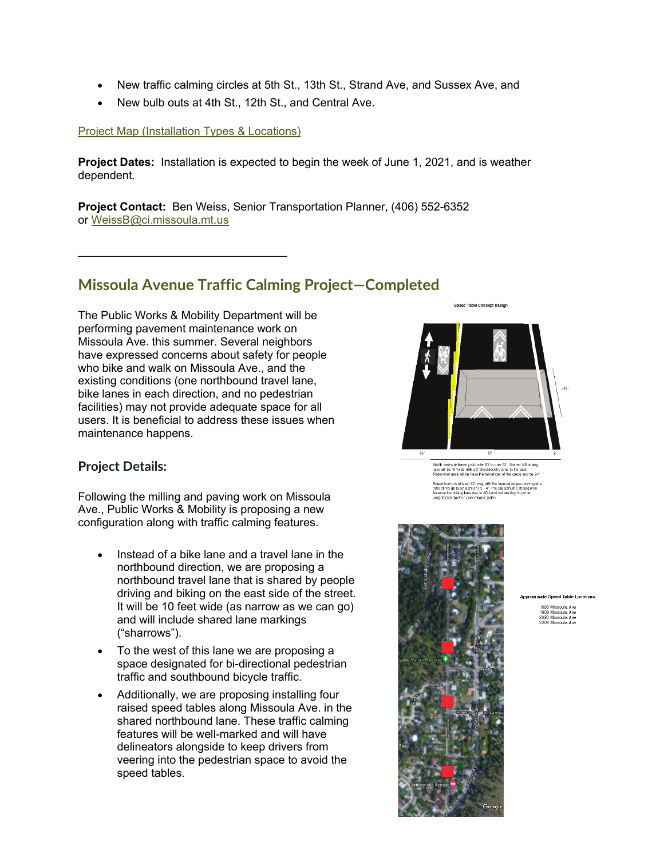- New traffic calming circles at 5th St., 13th St., Strand Ave, and Sussex Ave, and
- New bulb outs at 4th St., 12th St., and Central Ave.

#### [Project Map \(Installation Types & Locations\)](http://www.ci.missoula.mt.us/DocumentCenter/View/56591/Kemp-Shilling-Traffic-Calming)

\_\_\_\_\_\_\_\_\_\_\_\_\_\_\_\_\_\_\_\_\_\_\_\_\_\_\_\_\_\_\_\_\_

**Project Dates:** Installation is expected to begin the week of June 1, 2021, and is weather dependent.

**Project Contact:** Ben Weiss, Senior Transportation Planner, (406) 552-6352 or [WeissB@ci.missoula.mt.us](mailto:WeissB@ci.missoula.mt.us)

## **Missoula Avenue Traffic Calming Project—Completed**

The Public Works & Mobility Department will be performing pavement maintenance work on Missoula Ave. this summer. Several neighbors have expressed concerns about safety for people who bike and walk on Missoula Ave., and the existing conditions (one northbound travel lane, bike lanes in each direction, and no pedestrian facilities) may not provide adequate space for all users. It is beneficial to address these issues when maintenance happens.

### **Project Details:**

Following the milling and paving work on Missoula Ave., Public Works & Mobility is proposing a new configuration along with traffic calming features.

- Instead of a bike lane and a travel lane in the northbound direction, we are proposing a northbound travel lane that is shared by people driving and biking on the east side of the street. It will be 10 feet wide (as narrow as we can go) and will include shared lane markings ("sharrows").
- To the west of this lane we are proposing a space designated for bi-directional pedestrian traffic and southbound bicycle traffic.
- Additionally, we are proposing installing four raised speed tables along Missoula Ave. in the shared northbound lane. These traffic calming features will be well-marked and will have delineators alongside to keep drivers from veering into the pedestrian space to avoid the speed tables.

Sneed Table Concent Design



Width varies between just under 20°to over 23°. Shared NB driving<br>lane will be 10° wide with a 2° shoulder/shy zone to the east.<br>Pedestrian area will be have the remainder of the space and be 8+".

Speed hump is at least 12"long, with the tapered slopes running at a<br>ratio of 1:6 up to a height of 3:5 - 4". The speed hump should only<br>traverse the driving lane due to ADA and not wanting to put an<br>unlighted obstacte in



#### **Approximate Speed Table Locations**

1693 Missoula Ave<br>1909 Missoula Ave<br>2020 Missoula Ave 2020 Missoula Ave